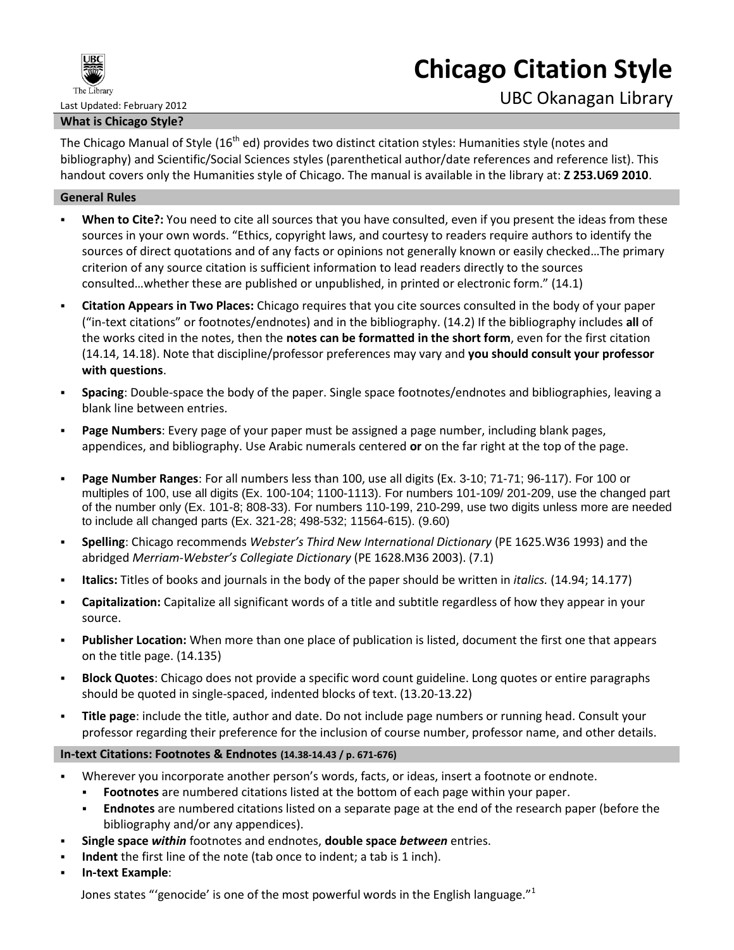

# **Chicago Citation Style**

#### **What is Chicago Style?**

The Chicago Manual of Style (16<sup>th</sup> ed) provides two distinct citation styles: Humanities style (notes and bibliography) and Scientific/Social Sciences styles (parenthetical author/date references and reference list). This handout covers only the Humanities style of Chicago. The manual is available in the library at: **Z 253.U69 2010**.

#### **General Rules**

- **When to Cite?:** You need to cite all sources that you have consulted, even if you present the ideas from these sources in your own words. "Ethics, copyright laws, and courtesy to readers require authors to identify the sources of direct quotations and of any facts or opinions not generally known or easily checked…The primary criterion of any source citation is sufficient information to lead readers directly to the sources consulted…whether these are published or unpublished, in printed or electronic form." (14.1)
- **Citation Appears in Two Places:** Chicago requires that you cite sources consulted in the body of your paper ("in-text citations" or footnotes/endnotes) and in the bibliography. (14.2) If the bibliography includes **all** of the works cited in the notes, then the **notes can be formatted in the short form**, even for the first citation (14.14, 14.18). Note that discipline/professor preferences may vary and **you should consult your professor with questions**.
- **Spacing**: Double-space the body of the paper. Single space footnotes/endnotes and bibliographies, leaving a blank line between entries.
- **Page Numbers**: Every page of your paper must be assigned a page number, including blank pages, appendices, and bibliography. Use Arabic numerals centered **or** on the far right at the top of the page.
- **Page Number Ranges**: For all numbers less than 100, use all digits (Ex. 3-10; 71-71; 96-117). For 100 or multiples of 100, use all digits (Ex. 100-104; 1100-1113). For numbers 101-109/ 201-209, use the changed part of the number only (Ex. 101-8; 808-33). For numbers 110-199, 210-299, use two digits unless more are needed to include all changed parts (Ex. 321-28; 498-532; 11564-615). (9.60)
- **Spelling**: Chicago recommends *Webster's Third New International Dictionary* (PE 1625.W36 1993) and the abridged *Merriam-Webster's Collegiate Dictionary* (PE 1628.M36 2003). (7.1)
- **Italics:** Titles of books and journals in the body of the paper should be written in *italics.* (14.94; 14.177)
- **Capitalization:** Capitalize all significant words of a title and subtitle regardless of how they appear in your source.
- **Publisher Location:** When more than one place of publication is listed, document the first one that appears on the title page. (14.135)
- **Block Quotes**: Chicago does not provide a specific word count guideline. Long quotes or entire paragraphs should be quoted in single-spaced, indented blocks of text. (13.20-13.22)
- **Title page**: include the title, author and date. Do not include page numbers or running head. Consult your professor regarding their preference for the inclusion of course number, professor name, and other details.

#### **In-text Citations: Footnotes & Endnotes (14.38-14.43 / p. 671-676)**

- Wherever you incorporate another person's words, facts, or ideas, insert a footnote or endnote.
	- **Footnotes** are numbered citations listed at the bottom of each page within your paper.
	- **Endnotes** are numbered citations listed on a separate page at the end of the research paper (before the bibliography and/or any appendices).
- **Single space** *within* footnotes and endnotes, **double space** *between* entries.
- **Indent** the first line of the note (tab once to indent; a tab is 1 inch).
- **In-text Example**:

Jones states "'genocide' is one of the most powerful words in the English language." $1$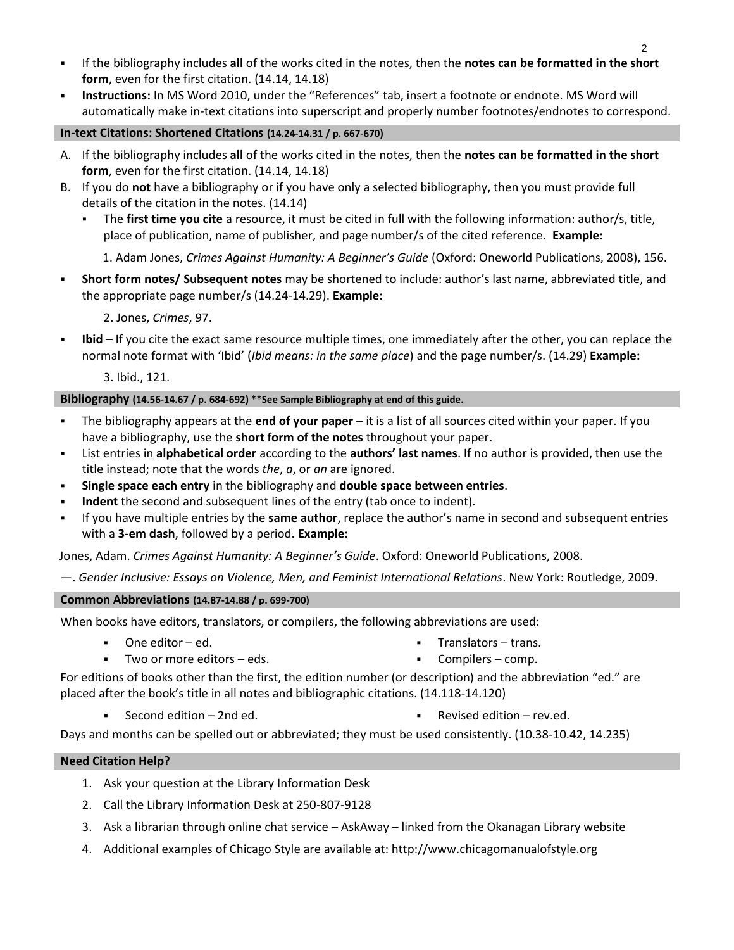- If the bibliography includes **all** of the works cited in the notes, then the **notes can be formatted in the short form**, even for the first citation. (14.14, 14.18)
- **Instructions:** In MS Word 2010, under the "References" tab, insert a footnote or endnote. MS Word will automatically make in-text citations into superscript and properly number footnotes/endnotes to correspond.

### **In-text Citations: Shortened Citations (14.24-14.31 / p. 667-670)**

- A. If the bibliography includes **all** of the works cited in the notes, then the **notes can be formatted in the short form**, even for the first citation. (14.14, 14.18)
- B. If you do **not** have a bibliography or if you have only a selected bibliography, then you must provide full details of the citation in the notes. (14.14)
	- The **first time you cite** a resource, it must be cited in full with the following information: author/s, title, place of publication, name of publisher, and page number/s of the cited reference. **Example:**

1. Adam Jones, *Crimes Against Humanity: A Beginner's Guide* (Oxford: Oneworld Publications, 2008), 156.

 **Short form notes/ Subsequent notes** may be shortened to include: author's last name, abbreviated title, and the appropriate page number/s (14.24-14.29). **Example:**

2. Jones, *Crimes*, 97.

 **Ibid** – If you cite the exact same resource multiple times, one immediately after the other, you can replace the normal note format with 'Ibid' (*Ibid means: in the same place*) and the page number/s. (14.29) **Example:**

3. Ibid., 121.

#### **Bibliography (14.56-14.67 / p. 684-692) \*\*See Sample Bibliography at end of this guide.**

- The bibliography appears at the **end of your paper** it is a list of all sources cited within your paper. If you have a bibliography, use the **short form of the notes** throughout your paper.
- List entries in **alphabetical order** according to the **authors' last names**. If no author is provided, then use the title instead; note that the words *the*, *a*, or *an* are ignored.
- **Single space each entry** in the bibliography and **double space between entries**.
- **Indent** the second and subsequent lines of the entry (tab once to indent).
- If you have multiple entries by the **same author**, replace the author's name in second and subsequent entries with a **3-em dash**, followed by a period. **Example:**

Jones, Adam. *Crimes Against Humanity: A Beginner's Guide*. Oxford: Oneworld Publications, 2008.

—. *Gender Inclusive: Essays on Violence, Men, and Feminist International Relations*. New York: Routledge, 2009.

#### **Common Abbreviations (14.87-14.88 / p. 699-700)**

When books have editors, translators, or compilers, the following abbreviations are used:

One editor – ed.

Translators – trans.

Two or more editors – eds.

Compilers – comp.

For editions of books other than the first, the edition number (or description) and the abbreviation "ed." are placed after the book's title in all notes and bibliographic citations. (14.118-14.120)

- 
- Second edition 2nd ed. **Revised edition 2nd ed. Revised edition rev.ed.**

Days and months can be spelled out or abbreviated; they must be used consistently. (10.38-10.42, 14.235)

#### **Need Citation Help?**

- 1. Ask your question at the Library Information Desk
- 2. Call the Library Information Desk at 250-807-9128
- 3. Ask a librarian through online chat service AskAway linked from the Okanagan Library website
- 4. Additional examples of Chicago Style are available at: http://www.chicagomanualofstyle.org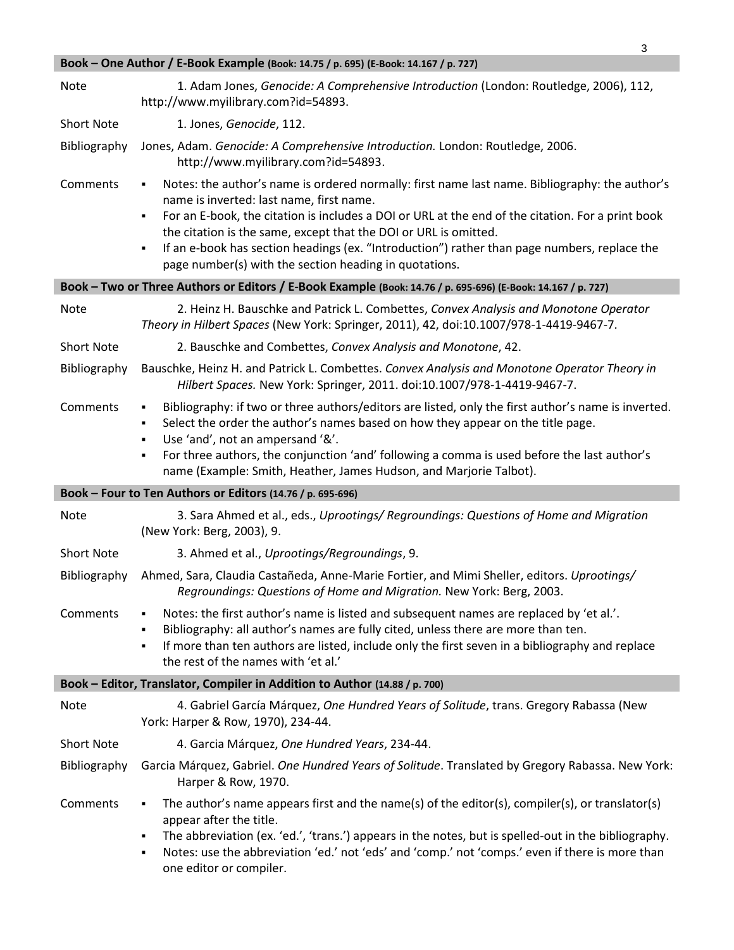|                   | Book - One Author / E-Book Example (Book: 14.75 / p. 695) (E-Book: 14.167 / p. 727)                                                                                                                                                                                                                                                                                                                                                                                                          |
|-------------------|----------------------------------------------------------------------------------------------------------------------------------------------------------------------------------------------------------------------------------------------------------------------------------------------------------------------------------------------------------------------------------------------------------------------------------------------------------------------------------------------|
| Note              | 1. Adam Jones, Genocide: A Comprehensive Introduction (London: Routledge, 2006), 112,<br>http://www.myilibrary.com?id=54893.                                                                                                                                                                                                                                                                                                                                                                 |
| <b>Short Note</b> | 1. Jones, Genocide, 112.                                                                                                                                                                                                                                                                                                                                                                                                                                                                     |
| Bibliography      | Jones, Adam. Genocide: A Comprehensive Introduction. London: Routledge, 2006.<br>http://www.myilibrary.com?id=54893.                                                                                                                                                                                                                                                                                                                                                                         |
| Comments          | Notes: the author's name is ordered normally: first name last name. Bibliography: the author's<br>٠<br>name is inverted: last name, first name.<br>For an E-book, the citation is includes a DOI or URL at the end of the citation. For a print book<br>٠<br>the citation is the same, except that the DOI or URL is omitted.<br>If an e-book has section headings (ex. "Introduction") rather than page numbers, replace the<br>٠<br>page number(s) with the section heading in quotations. |
|                   | Book - Two or Three Authors or Editors / E-Book Example (Book: 14.76 / p. 695-696) (E-Book: 14.167 / p. 727)                                                                                                                                                                                                                                                                                                                                                                                 |
| Note              | 2. Heinz H. Bauschke and Patrick L. Combettes, Convex Analysis and Monotone Operator<br>Theory in Hilbert Spaces (New York: Springer, 2011), 42, doi:10.1007/978-1-4419-9467-7.                                                                                                                                                                                                                                                                                                              |
| <b>Short Note</b> | 2. Bauschke and Combettes, Convex Analysis and Monotone, 42.                                                                                                                                                                                                                                                                                                                                                                                                                                 |
| Bibliography      | Bauschke, Heinz H. and Patrick L. Combettes. Convex Analysis and Monotone Operator Theory in<br>Hilbert Spaces. New York: Springer, 2011. doi:10.1007/978-1-4419-9467-7.                                                                                                                                                                                                                                                                                                                     |
| Comments          | Bibliography: if two or three authors/editors are listed, only the first author's name is inverted.<br>٠<br>Select the order the author's names based on how they appear on the title page.<br>٠<br>Use 'and', not an ampersand '&'.<br>٠                                                                                                                                                                                                                                                    |
|                   | For three authors, the conjunction 'and' following a comma is used before the last author's<br>٠                                                                                                                                                                                                                                                                                                                                                                                             |
|                   | name (Example: Smith, Heather, James Hudson, and Marjorie Talbot).                                                                                                                                                                                                                                                                                                                                                                                                                           |
|                   | Book - Four to Ten Authors or Editors (14.76 / p. 695-696)                                                                                                                                                                                                                                                                                                                                                                                                                                   |
| Note              | 3. Sara Ahmed et al., eds., Uprootings/ Regroundings: Questions of Home and Migration<br>(New York: Berg, 2003), 9.                                                                                                                                                                                                                                                                                                                                                                          |
| <b>Short Note</b> | 3. Ahmed et al., Uprootings/Regroundings, 9.                                                                                                                                                                                                                                                                                                                                                                                                                                                 |
| Bibliography      | Ahmed, Sara, Claudia Castañeda, Anne-Marie Fortier, and Mimi Sheller, editors. Uprootings/<br>Regroundings: Questions of Home and Migration. New York: Berg, 2003.                                                                                                                                                                                                                                                                                                                           |
| Comments          | Notes: the first author's name is listed and subsequent names are replaced by 'et al.'.<br>٠<br>Bibliography: all author's names are fully cited, unless there are more than ten.<br>٠<br>If more than ten authors are listed, include only the first seven in a bibliography and replace<br>٠<br>the rest of the names with 'et al.'                                                                                                                                                        |
|                   | Book - Editor, Translator, Compiler in Addition to Author (14.88 / p. 700)                                                                                                                                                                                                                                                                                                                                                                                                                   |
| Note              | 4. Gabriel García Márquez, One Hundred Years of Solitude, trans. Gregory Rabassa (New<br>York: Harper & Row, 1970), 234-44.                                                                                                                                                                                                                                                                                                                                                                  |
| <b>Short Note</b> | 4. Garcia Márquez, One Hundred Years, 234-44.                                                                                                                                                                                                                                                                                                                                                                                                                                                |
| Bibliography      | Garcia Márquez, Gabriel. One Hundred Years of Solitude. Translated by Gregory Rabassa. New York:<br>Harper & Row, 1970.                                                                                                                                                                                                                                                                                                                                                                      |

3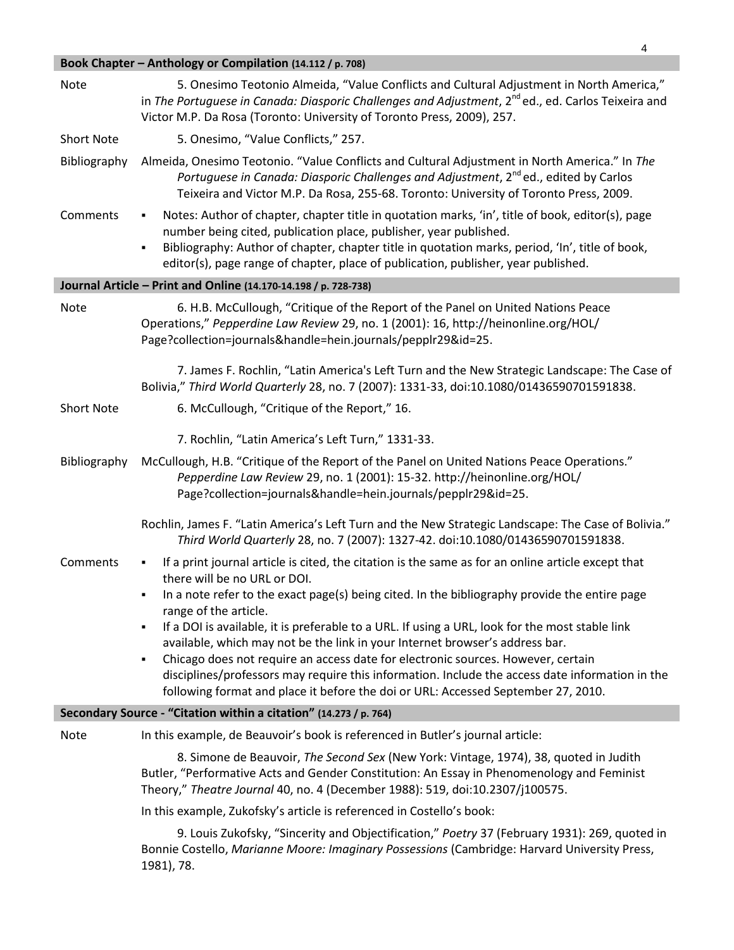# **Book Chapter – Anthology or Compilation (14.112 / p. 708)**

| Note                                                              | 5. Onesimo Teotonio Almeida, "Value Conflicts and Cultural Adjustment in North America,"<br>in The Portuguese in Canada: Diasporic Challenges and Adjustment, 2 <sup>nd</sup> ed., ed. Carlos Teixeira and<br>Victor M.P. Da Rosa (Toronto: University of Toronto Press, 2009), 257.                                                                                                                                                                                                                                                                                                                                                                                                                                                  |  |  |
|-------------------------------------------------------------------|---------------------------------------------------------------------------------------------------------------------------------------------------------------------------------------------------------------------------------------------------------------------------------------------------------------------------------------------------------------------------------------------------------------------------------------------------------------------------------------------------------------------------------------------------------------------------------------------------------------------------------------------------------------------------------------------------------------------------------------|--|--|
| <b>Short Note</b>                                                 | 5. Onesimo, "Value Conflicts," 257.                                                                                                                                                                                                                                                                                                                                                                                                                                                                                                                                                                                                                                                                                                   |  |  |
| Bibliography                                                      | Almeida, Onesimo Teotonio. "Value Conflicts and Cultural Adjustment in North America." In The<br>Portuguese in Canada: Diasporic Challenges and Adjustment, 2 <sup>nd</sup> ed., edited by Carlos<br>Teixeira and Victor M.P. Da Rosa, 255-68. Toronto: University of Toronto Press, 2009.                                                                                                                                                                                                                                                                                                                                                                                                                                            |  |  |
| Comments                                                          | Notes: Author of chapter, chapter title in quotation marks, 'in', title of book, editor(s), page<br>٠<br>number being cited, publication place, publisher, year published.<br>Bibliography: Author of chapter, chapter title in quotation marks, period, 'In', title of book,<br>٠<br>editor(s), page range of chapter, place of publication, publisher, year published.                                                                                                                                                                                                                                                                                                                                                              |  |  |
|                                                                   | Journal Article - Print and Online (14.170-14.198 / p. 728-738)                                                                                                                                                                                                                                                                                                                                                                                                                                                                                                                                                                                                                                                                       |  |  |
| Note                                                              | 6. H.B. McCullough, "Critique of the Report of the Panel on United Nations Peace<br>Operations," Pepperdine Law Review 29, no. 1 (2001): 16, http://heinonline.org/HOL/<br>Page?collection=journals&handle=hein.journals/pepplr29&id=25.                                                                                                                                                                                                                                                                                                                                                                                                                                                                                              |  |  |
|                                                                   | 7. James F. Rochlin, "Latin America's Left Turn and the New Strategic Landscape: The Case of<br>Bolivia," Third World Quarterly 28, no. 7 (2007): 1331-33, doi:10.1080/01436590701591838.                                                                                                                                                                                                                                                                                                                                                                                                                                                                                                                                             |  |  |
| <b>Short Note</b>                                                 | 6. McCullough, "Critique of the Report," 16.                                                                                                                                                                                                                                                                                                                                                                                                                                                                                                                                                                                                                                                                                          |  |  |
|                                                                   | 7. Rochlin, "Latin America's Left Turn," 1331-33.                                                                                                                                                                                                                                                                                                                                                                                                                                                                                                                                                                                                                                                                                     |  |  |
| Bibliography                                                      | McCullough, H.B. "Critique of the Report of the Panel on United Nations Peace Operations."<br>Pepperdine Law Review 29, no. 1 (2001): 15-32. http://heinonline.org/HOL/<br>Page?collection=journals&handle=hein.journals/pepplr29&id=25.                                                                                                                                                                                                                                                                                                                                                                                                                                                                                              |  |  |
|                                                                   | Rochlin, James F. "Latin America's Left Turn and the New Strategic Landscape: The Case of Bolivia."<br>Third World Quarterly 28, no. 7 (2007): 1327-42. doi:10.1080/01436590701591838.                                                                                                                                                                                                                                                                                                                                                                                                                                                                                                                                                |  |  |
| Comments                                                          | If a print journal article is cited, the citation is the same as for an online article except that<br>٠<br>there will be no URL or DOI.<br>In a note refer to the exact page(s) being cited. In the bibliography provide the entire page<br>range of the article.<br>If a DOI is available, it is preferable to a URL. If using a URL, look for the most stable link<br>available, which may not be the link in your Internet browser's address bar.<br>Chicago does not require an access date for electronic sources. However, certain<br>٠<br>disciplines/professors may require this information. Include the access date information in the<br>following format and place it before the doi or URL: Accessed September 27, 2010. |  |  |
| Secondary Source - "Citation within a citation" (14.273 / p. 764) |                                                                                                                                                                                                                                                                                                                                                                                                                                                                                                                                                                                                                                                                                                                                       |  |  |
| <b>Note</b>                                                       | In this example, de Beauvoir's book is referenced in Butler's journal article:                                                                                                                                                                                                                                                                                                                                                                                                                                                                                                                                                                                                                                                        |  |  |
|                                                                   | 8. Simone de Beauvoir, The Second Sex (New York: Vintage, 1974), 38, quoted in Judith<br>Butler, "Performative Acts and Gender Constitution: An Essay in Phenomenology and Feminist<br>Theory," Theatre Journal 40, no. 4 (December 1988): 519, doi:10.2307/j100575.                                                                                                                                                                                                                                                                                                                                                                                                                                                                  |  |  |
|                                                                   | In this example, Zukofsky's article is referenced in Costello's book:                                                                                                                                                                                                                                                                                                                                                                                                                                                                                                                                                                                                                                                                 |  |  |
|                                                                   | 9. Louis Zukofsky, "Sincerity and Objectification," Poetry 37 (February 1931): 269, quoted in<br>Bonnie Costello, Marianne Moore: Imaginary Possessions (Cambridge: Harvard University Press,<br>1981), 78.                                                                                                                                                                                                                                                                                                                                                                                                                                                                                                                           |  |  |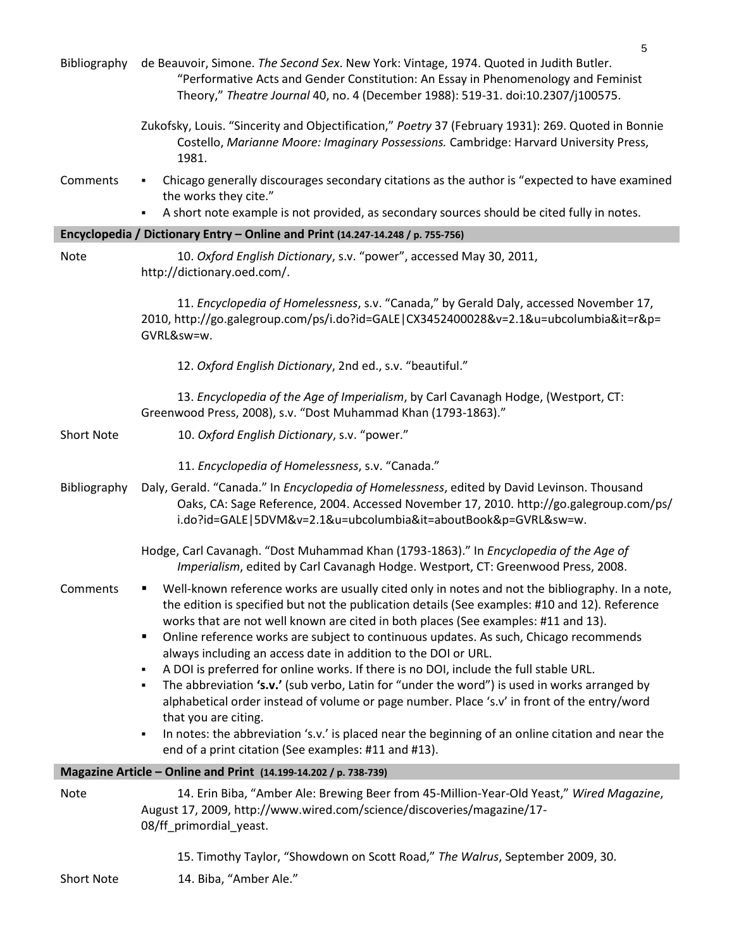| Bibliography      | 5<br>de Beauvoir, Simone. The Second Sex. New York: Vintage, 1974. Quoted in Judith Butler.<br>"Performative Acts and Gender Constitution: An Essay in Phenomenology and Feminist<br>Theory," Theatre Journal 40, no. 4 (December 1988): 519-31. doi:10.2307/j100575.                                                                                                                                                                                                                                                                                                                                                                                                                                                                                                                                                                                                                                         |
|-------------------|---------------------------------------------------------------------------------------------------------------------------------------------------------------------------------------------------------------------------------------------------------------------------------------------------------------------------------------------------------------------------------------------------------------------------------------------------------------------------------------------------------------------------------------------------------------------------------------------------------------------------------------------------------------------------------------------------------------------------------------------------------------------------------------------------------------------------------------------------------------------------------------------------------------|
|                   | Zukofsky, Louis. "Sincerity and Objectification," Poetry 37 (February 1931): 269. Quoted in Bonnie<br>Costello, Marianne Moore: Imaginary Possessions. Cambridge: Harvard University Press,<br>1981.                                                                                                                                                                                                                                                                                                                                                                                                                                                                                                                                                                                                                                                                                                          |
| Comments          | Chicago generally discourages secondary citations as the author is "expected to have examined<br>٠<br>the works they cite."<br>A short note example is not provided, as secondary sources should be cited fully in notes.<br>٠                                                                                                                                                                                                                                                                                                                                                                                                                                                                                                                                                                                                                                                                                |
|                   | Encyclopedia / Dictionary Entry - Online and Print (14.247-14.248 / p. 755-756)                                                                                                                                                                                                                                                                                                                                                                                                                                                                                                                                                                                                                                                                                                                                                                                                                               |
| <b>Note</b>       | 10. Oxford English Dictionary, s.v. "power", accessed May 30, 2011,<br>http://dictionary.oed.com/.                                                                                                                                                                                                                                                                                                                                                                                                                                                                                                                                                                                                                                                                                                                                                                                                            |
|                   | 11. Encyclopedia of Homelessness, s.v. "Canada," by Gerald Daly, accessed November 17,<br>2010, http://go.galegroup.com/ps/i.do?id=GALE CX3452400028&v=2.1&u=ubcolumbia⁢=r&p=<br>GVRL&sw=w.                                                                                                                                                                                                                                                                                                                                                                                                                                                                                                                                                                                                                                                                                                                   |
|                   | 12. Oxford English Dictionary, 2nd ed., s.v. "beautiful."                                                                                                                                                                                                                                                                                                                                                                                                                                                                                                                                                                                                                                                                                                                                                                                                                                                     |
|                   | 13. Encyclopedia of the Age of Imperialism, by Carl Cavanagh Hodge, (Westport, CT:<br>Greenwood Press, 2008), s.v. "Dost Muhammad Khan (1793-1863)."                                                                                                                                                                                                                                                                                                                                                                                                                                                                                                                                                                                                                                                                                                                                                          |
| <b>Short Note</b> | 10. Oxford English Dictionary, s.v. "power."                                                                                                                                                                                                                                                                                                                                                                                                                                                                                                                                                                                                                                                                                                                                                                                                                                                                  |
|                   | 11. Encyclopedia of Homelessness, s.v. "Canada."                                                                                                                                                                                                                                                                                                                                                                                                                                                                                                                                                                                                                                                                                                                                                                                                                                                              |
| Bibliography      | Daly, Gerald. "Canada." In Encyclopedia of Homelessness, edited by David Levinson. Thousand<br>Oaks, CA: Sage Reference, 2004. Accessed November 17, 2010. http://go.galegroup.com/ps/<br>i.do?id=GALE 5DVM&v=2.1&u=ubcolumbia⁢=aboutBook&p=GVRL&sw=w.                                                                                                                                                                                                                                                                                                                                                                                                                                                                                                                                                                                                                                                        |
|                   | Hodge, Carl Cavanagh. "Dost Muhammad Khan (1793-1863)." In Encyclopedia of the Age of<br>Imperialism, edited by Carl Cavanagh Hodge. Westport, CT: Greenwood Press, 2008.                                                                                                                                                                                                                                                                                                                                                                                                                                                                                                                                                                                                                                                                                                                                     |
| Comments          | Well-known reference works are usually cited only in notes and not the bibliography. In a note,<br>٠<br>the edition is specified but not the publication details (See examples: #10 and 12). Reference<br>works that are not well known are cited in both places (See examples: #11 and 13).<br>Online reference works are subject to continuous updates. As such, Chicago recommends<br>٠<br>always including an access date in addition to the DOI or URL.<br>A DOI is preferred for online works. If there is no DOI, include the full stable URL.<br>٠<br>The abbreviation 's.v.' (sub verbo, Latin for "under the word") is used in works arranged by<br>٠<br>alphabetical order instead of volume or page number. Place 's.v' in front of the entry/word<br>that you are citing.<br>In notes: the abbreviation 's.v.' is placed near the beginning of an online citation and near the<br>$\blacksquare$ |
|                   | end of a print citation (See examples: #11 and #13).                                                                                                                                                                                                                                                                                                                                                                                                                                                                                                                                                                                                                                                                                                                                                                                                                                                          |
|                   | Magazine Article - Online and Print (14.199-14.202 / p. 738-739)                                                                                                                                                                                                                                                                                                                                                                                                                                                                                                                                                                                                                                                                                                                                                                                                                                              |
| Note              | 14. Erin Biba, "Amber Ale: Brewing Beer from 45-Million-Year-Old Yeast," Wired Magazine,<br>August 17, 2009, http://www.wired.com/science/discoveries/magazine/17-<br>08/ff_primordial_yeast.                                                                                                                                                                                                                                                                                                                                                                                                                                                                                                                                                                                                                                                                                                                 |
| <b>Short Note</b> | 15. Timothy Taylor, "Showdown on Scott Road," The Walrus, September 2009, 30.<br>14. Biba, "Amber Ale."                                                                                                                                                                                                                                                                                                                                                                                                                                                                                                                                                                                                                                                                                                                                                                                                       |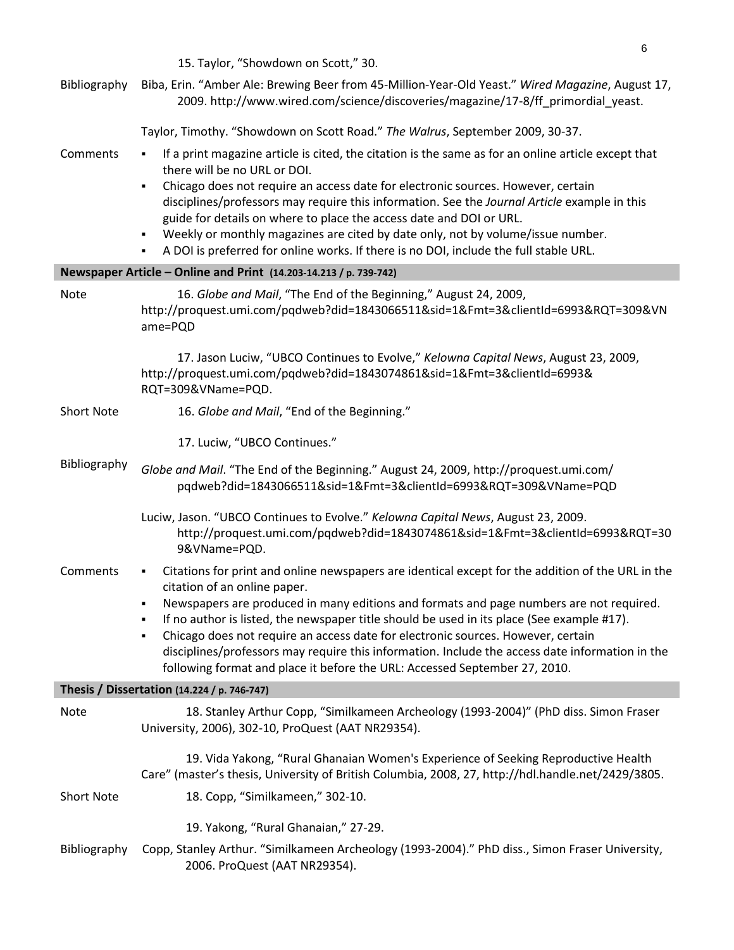|                   | 15. Taylor, "Showdown on Scott," 30.                                                                                                                                                                                                                                                                                                                                                                                                                                                                                                                                                                                  |
|-------------------|-----------------------------------------------------------------------------------------------------------------------------------------------------------------------------------------------------------------------------------------------------------------------------------------------------------------------------------------------------------------------------------------------------------------------------------------------------------------------------------------------------------------------------------------------------------------------------------------------------------------------|
| Bibliography      | Biba, Erin. "Amber Ale: Brewing Beer from 45-Million-Year-Old Yeast." Wired Magazine, August 17,<br>2009. http://www.wired.com/science/discoveries/magazine/17-8/ff_primordial_yeast.                                                                                                                                                                                                                                                                                                                                                                                                                                 |
|                   | Taylor, Timothy. "Showdown on Scott Road." The Walrus, September 2009, 30-37.                                                                                                                                                                                                                                                                                                                                                                                                                                                                                                                                         |
| Comments          | If a print magazine article is cited, the citation is the same as for an online article except that<br>٠<br>there will be no URL or DOI.<br>Chicago does not require an access date for electronic sources. However, certain<br>$\blacksquare$<br>disciplines/professors may require this information. See the Journal Article example in this<br>guide for details on where to place the access date and DOI or URL.<br>• Weekly or monthly magazines are cited by date only, not by volume/issue number.<br>A DOI is preferred for online works. If there is no DOI, include the full stable URL.<br>$\blacksquare$ |
|                   | Newspaper Article - Online and Print (14.203-14.213 / p. 739-742)                                                                                                                                                                                                                                                                                                                                                                                                                                                                                                                                                     |
| Note              | 16. Globe and Mail, "The End of the Beginning," August 24, 2009,<br>http://proquest.umi.com/pqdweb?did=1843066511&sid=1&Fmt=3&clientId=6993&RQT=309&VN<br>ame=PQD                                                                                                                                                                                                                                                                                                                                                                                                                                                     |
|                   | 17. Jason Luciw, "UBCO Continues to Evolve," Kelowna Capital News, August 23, 2009,<br>http://proquest.umi.com/pqdweb?did=1843074861&sid=1&Fmt=3&clientId=6993&<br>RQT=309&VName=PQD.                                                                                                                                                                                                                                                                                                                                                                                                                                 |
| <b>Short Note</b> | 16. Globe and Mail, "End of the Beginning."                                                                                                                                                                                                                                                                                                                                                                                                                                                                                                                                                                           |
|                   | 17. Luciw, "UBCO Continues."                                                                                                                                                                                                                                                                                                                                                                                                                                                                                                                                                                                          |
| Bibliography      | Globe and Mail. "The End of the Beginning." August 24, 2009, http://proquest.umi.com/<br>pqdweb?did=1843066511&sid=1&Fmt=3&clientId=6993&RQT=309&VName=PQD                                                                                                                                                                                                                                                                                                                                                                                                                                                            |
|                   | Luciw, Jason. "UBCO Continues to Evolve." Kelowna Capital News, August 23, 2009.<br>http://proquest.umi.com/pqdweb?did=1843074861&sid=1&Fmt=3&clientId=6993&RQT=30<br>9&VName=PQD.                                                                                                                                                                                                                                                                                                                                                                                                                                    |
| Comments          | Citations for print and online newspapers are identical except for the addition of the URL in the<br>٠<br>citation of an online paper.<br>Newspapers are produced in many editions and formats and page numbers are not required.<br>If no author is listed, the newspaper title should be used in its place (See example #17).<br>Chicago does not require an access date for electronic sources. However, certain<br>٠<br>disciplines/professors may require this information. Include the access date information in the<br>following format and place it before the URL: Accessed September 27, 2010.             |
|                   | Thesis / Dissertation (14.224 / p. 746-747)                                                                                                                                                                                                                                                                                                                                                                                                                                                                                                                                                                           |
| Note              | 18. Stanley Arthur Copp, "Similkameen Archeology (1993-2004)" (PhD diss. Simon Fraser<br>University, 2006), 302-10, ProQuest (AAT NR29354).                                                                                                                                                                                                                                                                                                                                                                                                                                                                           |
|                   | 19. Vida Yakong, "Rural Ghanaian Women's Experience of Seeking Reproductive Health<br>Care" (master's thesis, University of British Columbia, 2008, 27, http://hdl.handle.net/2429/3805.                                                                                                                                                                                                                                                                                                                                                                                                                              |
| <b>Short Note</b> | 18. Copp, "Similkameen," 302-10.                                                                                                                                                                                                                                                                                                                                                                                                                                                                                                                                                                                      |
|                   | 19. Yakong, "Rural Ghanaian," 27-29.                                                                                                                                                                                                                                                                                                                                                                                                                                                                                                                                                                                  |
| Bibliography      | Copp, Stanley Arthur. "Similkameen Archeology (1993-2004)." PhD diss., Simon Fraser University,<br>2006. ProQuest (AAT NR29354).                                                                                                                                                                                                                                                                                                                                                                                                                                                                                      |

6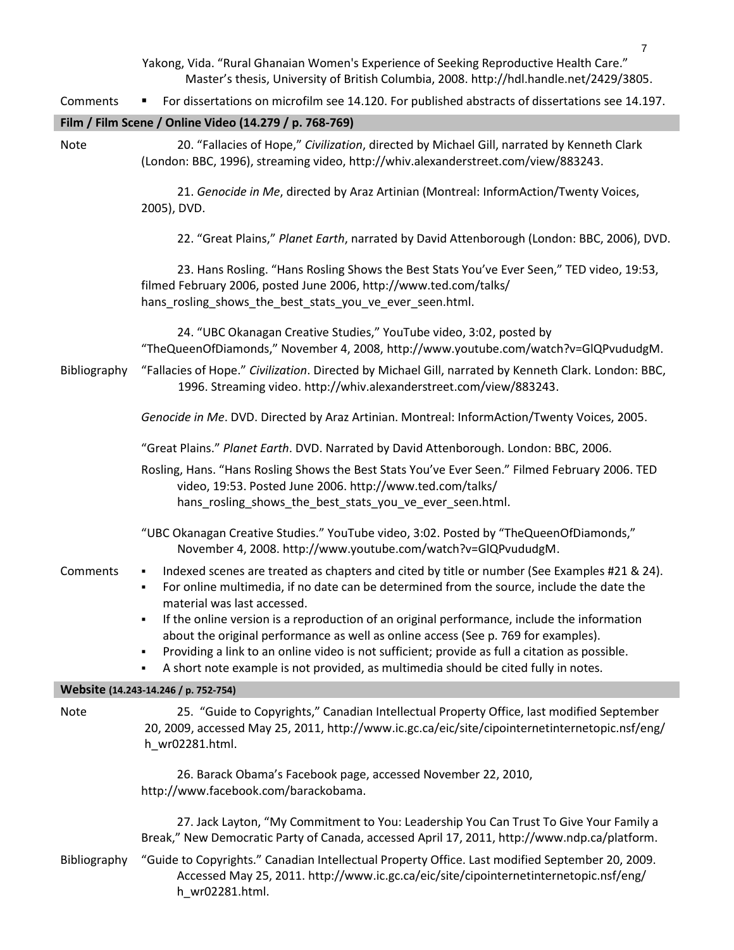Yakong, Vida. "Rural Ghanaian Women's Experience of Seeking Reproductive Health Care." Master's thesis, University of British Columbia, 2008. http://hdl.handle.net/2429/3805.

Comments For dissertations on microfilm see 14.120. For published abstracts of dissertations see 14.197.

#### **Film / Film Scene / Online Video (14.279 / p. 768-769)**

Note 20. "Fallacies of Hope," *Civilization*, directed by Michael Gill, narrated by Kenneth Clark (London: BBC, 1996), streaming video, http://whiv.alexanderstreet.com/view/883243.

> 21. *Genocide in Me*, directed by Araz Artinian (Montreal: InformAction/Twenty Voices, 2005), DVD.

22. "Great Plains," *Planet Earth*, narrated by David Attenborough (London: BBC, 2006), DVD.

23. Hans Rosling. "Hans Rosling Shows the Best Stats You've Ever Seen," TED video, 19:53, filmed February 2006, posted June 2006, http://www.ted.com/talks/ hans\_rosling\_shows\_the\_best\_stats\_you\_ve\_ever\_seen.html.

24. "UBC Okanagan Creative Studies," YouTube video, 3:02, posted by "TheQueenOfDiamonds," November 4, 2008, http://www.youtube.com/watch?v=GlQPvududgM.

Bibliography "Fallacies of Hope." *Civilization*. Directed by Michael Gill, narrated by Kenneth Clark. London: BBC, 1996. Streaming video. http://whiv.alexanderstreet.com/view/883243.

*Genocide in Me*. DVD. Directed by Araz Artinian. Montreal: InformAction/Twenty Voices, 2005.

"Great Plains." *Planet Earth*. DVD. Narrated by David Attenborough. London: BBC, 2006.

Rosling, Hans. "Hans Rosling Shows the Best Stats You've Ever Seen." Filmed February 2006. TED video, 19:53. Posted June 2006. http://www.ted.com/talks/ hans rosling shows the best stats you ve ever seen.html.

- "UBC Okanagan Creative Studies." YouTube video, 3:02. Posted by "TheQueenOfDiamonds," November 4, 2008. http://www.youtube.com/watch?v=GlQPvududgM.
- 
- Comments Indexed scenes are treated as chapters and cited by title or number (See Examples #21 & 24).
	- For online multimedia, if no date can be determined from the source, include the date the material was last accessed.
	- If the online version is a reproduction of an original performance, include the information about the original performance as well as online access (See p. 769 for examples).
	- Providing a link to an online video is not sufficient; provide as full a citation as possible.
	- A short note example is not provided, as multimedia should be cited fully in notes.

#### **Website (14.243-14.246 / p. 752-754)**

Note 25. "Guide to Copyrights," Canadian Intellectual Property Office, last modified September 20, 2009, accessed May 25, 2011, http://www.ic.gc.ca/eic/site/cipointernetinternetopic.nsf/eng/ h\_wr02281.html.

> 26. Barack Obama's Facebook page, accessed November 22, 2010, http://www.facebook.com/barackobama.

27. Jack Layton, "My Commitment to You: Leadership You Can Trust To Give Your Family a Break," New Democratic Party of Canada, accessed April 17, 2011, http://www.ndp.ca/platform.

Bibliography "Guide to Copyrights." Canadian Intellectual Property Office. Last modified September 20, 2009. Accessed May 25, 2011. http://www.ic.gc.ca/eic/site/cipointernetinternetopic.nsf/eng/ h\_wr02281.html.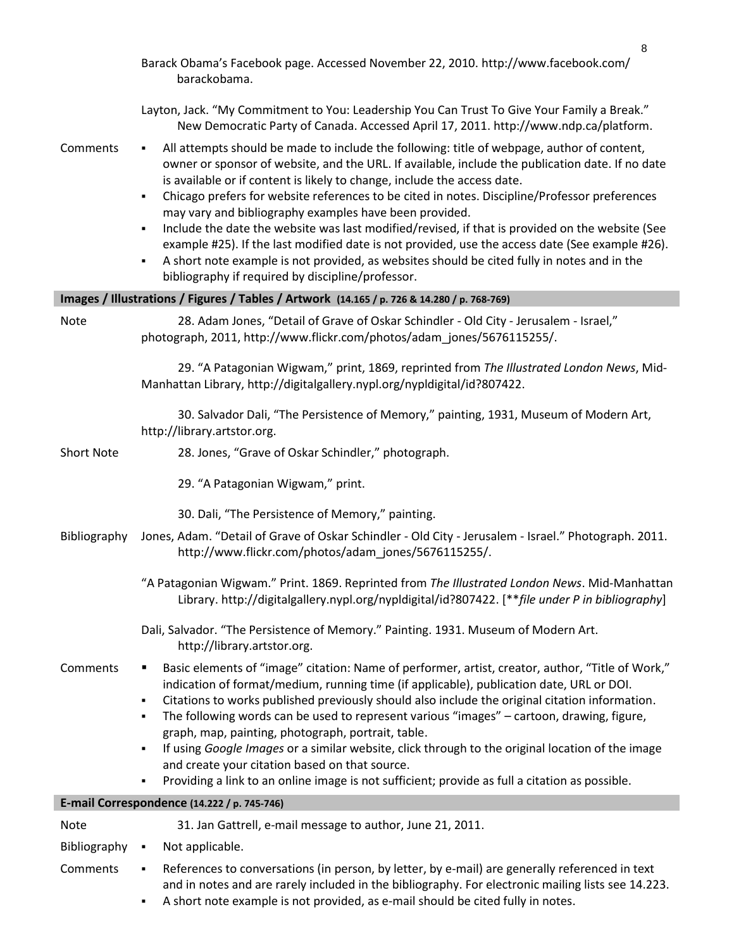|                      | Barack Obama's Facebook page. Accessed November 22, 2010. http://www.facebook.com/<br>barackobama.                                                                                                                                                                                                                                                                                                                                                                                                                                                                                                                                                                                                                                                                                                                  |
|----------------------|---------------------------------------------------------------------------------------------------------------------------------------------------------------------------------------------------------------------------------------------------------------------------------------------------------------------------------------------------------------------------------------------------------------------------------------------------------------------------------------------------------------------------------------------------------------------------------------------------------------------------------------------------------------------------------------------------------------------------------------------------------------------------------------------------------------------|
|                      | Layton, Jack. "My Commitment to You: Leadership You Can Trust To Give Your Family a Break."<br>New Democratic Party of Canada. Accessed April 17, 2011. http://www.ndp.ca/platform.                                                                                                                                                                                                                                                                                                                                                                                                                                                                                                                                                                                                                                 |
| Comments             | All attempts should be made to include the following: title of webpage, author of content,<br>٠<br>owner or sponsor of website, and the URL. If available, include the publication date. If no date<br>is available or if content is likely to change, include the access date.<br>Chicago prefers for website references to be cited in notes. Discipline/Professor preferences<br>٠<br>may vary and bibliography examples have been provided.<br>Include the date the website was last modified/revised, if that is provided on the website (See<br>٠<br>example #25). If the last modified date is not provided, use the access date (See example #26).<br>A short note example is not provided, as websites should be cited fully in notes and in the<br>٠<br>bibliography if required by discipline/professor. |
|                      | Images / Illustrations / Figures / Tables / Artwork (14.165 / p. 726 & 14.280 / p. 768-769)                                                                                                                                                                                                                                                                                                                                                                                                                                                                                                                                                                                                                                                                                                                         |
| Note                 | 28. Adam Jones, "Detail of Grave of Oskar Schindler - Old City - Jerusalem - Israel,"<br>photograph, 2011, http://www.flickr.com/photos/adam_jones/5676115255/.                                                                                                                                                                                                                                                                                                                                                                                                                                                                                                                                                                                                                                                     |
|                      | 29. "A Patagonian Wigwam," print, 1869, reprinted from The Illustrated London News, Mid-<br>Manhattan Library, http://digitalgallery.nypl.org/nypldigital/id?807422.                                                                                                                                                                                                                                                                                                                                                                                                                                                                                                                                                                                                                                                |
|                      | 30. Salvador Dali, "The Persistence of Memory," painting, 1931, Museum of Modern Art,<br>http://library.artstor.org.                                                                                                                                                                                                                                                                                                                                                                                                                                                                                                                                                                                                                                                                                                |
| <b>Short Note</b>    | 28. Jones, "Grave of Oskar Schindler," photograph.                                                                                                                                                                                                                                                                                                                                                                                                                                                                                                                                                                                                                                                                                                                                                                  |
|                      | 29. "A Patagonian Wigwam," print.                                                                                                                                                                                                                                                                                                                                                                                                                                                                                                                                                                                                                                                                                                                                                                                   |
|                      | 30. Dali, "The Persistence of Memory," painting.                                                                                                                                                                                                                                                                                                                                                                                                                                                                                                                                                                                                                                                                                                                                                                    |
| Bibliography         | Jones, Adam. "Detail of Grave of Oskar Schindler - Old City - Jerusalem - Israel." Photograph. 2011.<br>http://www.flickr.com/photos/adam_jones/5676115255/.                                                                                                                                                                                                                                                                                                                                                                                                                                                                                                                                                                                                                                                        |
|                      | "A Patagonian Wigwam." Print. 1869. Reprinted from The Illustrated London News. Mid-Manhattan<br>Library. http://digitalgallery.nypl.org/nypldigital/id?807422. [**file under P in bibliography]                                                                                                                                                                                                                                                                                                                                                                                                                                                                                                                                                                                                                    |
|                      | Dali, Salvador. "The Persistence of Memory." Painting. 1931. Museum of Modern Art.<br>http://library.artstor.org.                                                                                                                                                                                                                                                                                                                                                                                                                                                                                                                                                                                                                                                                                                   |
| Comments             | Basic elements of "image" citation: Name of performer, artist, creator, author, "Title of Work,"<br>indication of format/medium, running time (if applicable), publication date, URL or DOI.<br>Citations to works published previously should also include the original citation information.<br>٠<br>The following words can be used to represent various "images" - cartoon, drawing, figure,<br>٠<br>graph, map, painting, photograph, portrait, table.<br>If using Google Images or a similar website, click through to the original location of the image<br>٠<br>and create your citation based on that source.                                                                                                                                                                                              |
|                      | Providing a link to an online image is not sufficient; provide as full a citation as possible.<br>٠                                                                                                                                                                                                                                                                                                                                                                                                                                                                                                                                                                                                                                                                                                                 |
|                      | E-mail Correspondence (14.222 / p. 745-746)                                                                                                                                                                                                                                                                                                                                                                                                                                                                                                                                                                                                                                                                                                                                                                         |
| Note<br>Bibliography | 31. Jan Gattrell, e-mail message to author, June 21, 2011.<br>Not applicable.<br>٠                                                                                                                                                                                                                                                                                                                                                                                                                                                                                                                                                                                                                                                                                                                                  |
| Comments             | References to conversations (in person, by letter, by e-mail) are generally referenced in text<br>٠                                                                                                                                                                                                                                                                                                                                                                                                                                                                                                                                                                                                                                                                                                                 |
|                      | and in notes and are rarely included in the bibliography. For electronic mailing lists see 14.223.                                                                                                                                                                                                                                                                                                                                                                                                                                                                                                                                                                                                                                                                                                                  |

A short note example is not provided, as e-mail should be cited fully in notes.